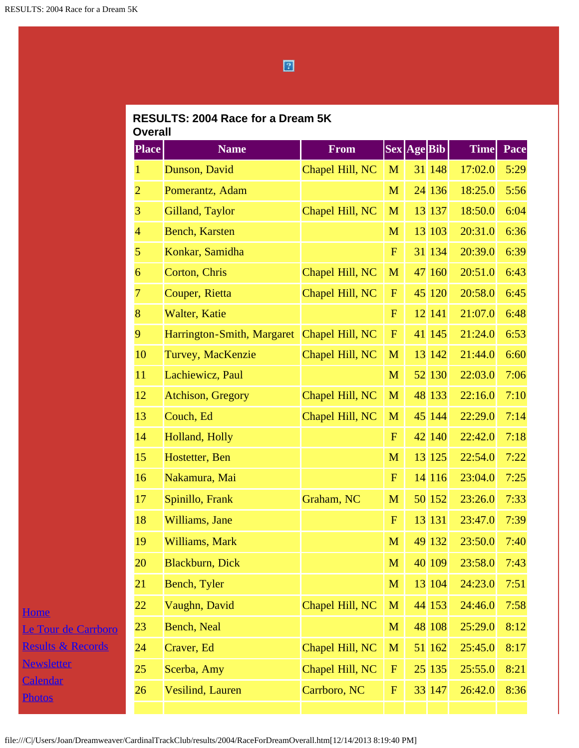## $\boxed{2}$

## **RESULTS: 2004 Race for a Dream 5K Overall**

| <b>Place</b>    | <b>Name</b>                | <b>From</b>     |             | Sex Age Bib |        | <b>Time</b> | Pace |
|-----------------|----------------------------|-----------------|-------------|-------------|--------|-------------|------|
| 1               | Dunson, David              | Chapel Hill, NC | M           |             | 31 148 | 17:02.0     | 5:29 |
| $\overline{2}$  | Pomerantz, Adam            |                 | M           |             | 24 136 | 18:25.0     | 5:56 |
| 3               | Gilland, Taylor            | Chapel Hill, NC | M           |             | 13 137 | 18:50.0     | 6:04 |
| $\overline{4}$  | <b>Bench, Karsten</b>      |                 | M           |             | 13 103 | 20:31.0     | 6:36 |
| 5               | Konkar, Samidha            |                 | $\mathbf F$ |             | 31 134 | 20:39.0     | 6:39 |
| 6               | Corton, Chris              | Chapel Hill, NC | M           |             | 47 160 | 20:51.0     | 6:43 |
| 7               | Couper, Rietta             | Chapel Hill, NC | $\mathbf F$ |             | 45 120 | 20:58.0     | 6:45 |
| 8               | Walter, Katie              |                 | $\mathbf F$ |             | 12 141 | 21:07.0     | 6:48 |
| 9               | Harrington-Smith, Margaret | Chapel Hill, NC | $\mathbf F$ |             | 41 145 | 21:24.0     | 6:53 |
| 10              | Turvey, MacKenzie          | Chapel Hill, NC | M           | 13          | 142    | 21:44.0     | 6:60 |
| 11              | Lachiewicz, Paul           |                 | M           |             | 52 130 | 22:03.0     | 7:06 |
| 12              | <b>Atchison, Gregory</b>   | Chapel Hill, NC | M           |             | 48 133 | 22:16.0     | 7:10 |
| 13              | Couch, Ed                  | Chapel Hill, NC | M           |             | 45 144 | 22:29.0     | 7:14 |
| 14              | Holland, Holly             |                 | $\mathbf F$ |             | 42 140 | 22:42.0     | 7:18 |
| 15              | Hostetter, Ben             |                 | M           |             | 13 125 | 22:54.0     | 7:22 |
| 16              | Nakamura, Mai              |                 | $\mathbf F$ |             | 14 116 | 23:04.0     | 7:25 |
| 17              | Spinillo, Frank            | Graham, NC      | M           |             | 50 152 | 23:26.0     | 7:33 |
| 18              | Williams, Jane             |                 | $\mathbf F$ |             | 13 131 | 23:47.0     | 7:39 |
| 19              | Williams, Mark             |                 | M           |             | 49 132 | 23:50.0     | 7:40 |
| 20              | Blackburn, Dick            |                 | M           |             | 40 109 | 23:58.0     | 7:43 |
| 21              | Bench, Tyler               |                 | M           |             | 13 104 | 24:23.0     | 7:51 |
| 22              | Vaughn, David              | Chapel Hill, NC | M           |             | 44 153 | 24:46.0     | 7:58 |
| 23              | <b>Bench, Neal</b>         |                 | M           |             | 48 108 | 25:29.0     | 8:12 |
| 24              | Craver, Ed                 | Chapel Hill, NC | M           |             | 51 162 | 25:45.0     | 8:17 |
| 25 <sub>2</sub> | Scerba, Amy                | Chapel Hill, NC | ${\bf F}$   |             | 25 135 | 25:55.0     | 8:21 |
| 26              | Vesilind, Lauren           | Carrboro, NC    | ${\bf F}$   |             | 33 147 | 26:42.0     | 8:36 |
|                 |                            |                 |             |             |        |             |      |

**[Home](file:///home.html)** [Le Tour de Carrboro](file:///letourdecarrboro.html) [Results & Records](file:///results.html) **[Newsletter](file:///newsletterSignup.html)** [Calendar](file:///page/page/8345191.htm) **[Photos](file:///photos.html)** 

file:///C|/Users/Joan/Dreamweaver/CardinalTrackClub/results/2004/RaceForDreamOverall.htm[12/14/2013 8:19:40 PM]